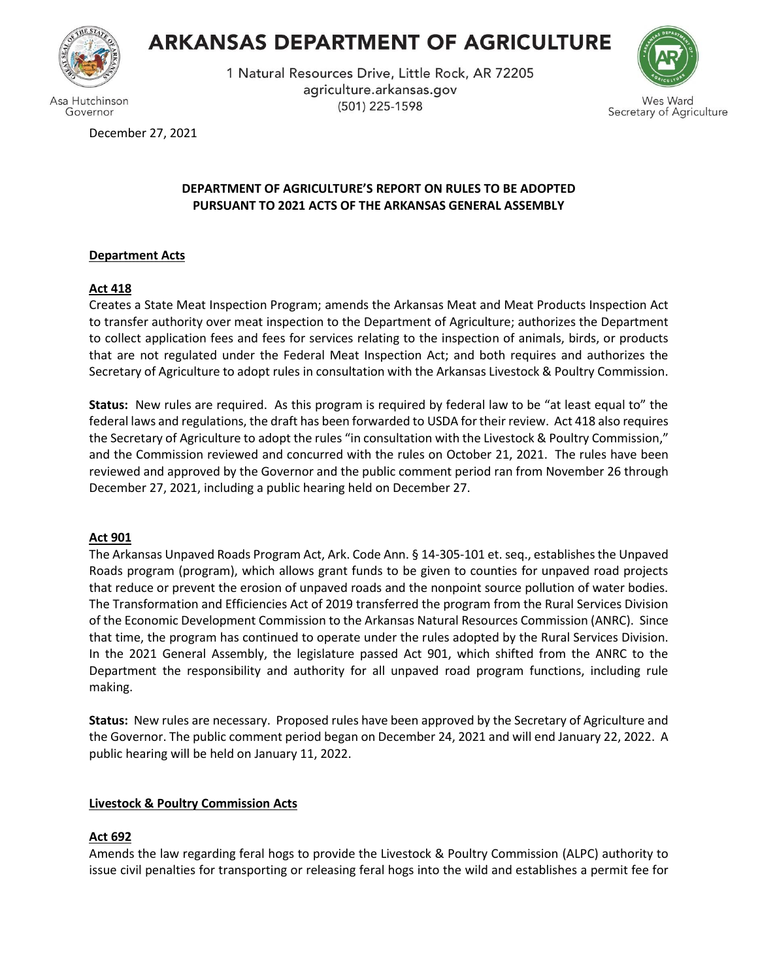

Governor

# **ARKANSAS DEPARTMENT OF AGRICULTURE**

1 Natural Resources Drive, Little Rock, AR 72205 agriculture.arkansas.gov (501) 225-1598



es Ward Secretary of Agriculture

December 27, 2021

## **DEPARTMENT OF AGRICULTURE'S REPORT ON RULES TO BE ADOPTED PURSUANT TO 2021 ACTS OF THE ARKANSAS GENERAL ASSEMBLY**

# **Department Acts**

# **Act 418**

Creates a State Meat Inspection Program; amends the Arkansas Meat and Meat Products Inspection Act to transfer authority over meat inspection to the Department of Agriculture; authorizes the Department to collect application fees and fees for services relating to the inspection of animals, birds, or products that are not regulated under the Federal Meat Inspection Act; and both requires and authorizes the Secretary of Agriculture to adopt rules in consultation with the Arkansas Livestock & Poultry Commission.

**Status:** New rules are required. As this program is required by federal law to be "at least equal to" the federal laws and regulations, the draft has been forwarded to USDA for their review. Act 418 also requires the Secretary of Agriculture to adopt the rules "in consultation with the Livestock & Poultry Commission," and the Commission reviewed and concurred with the rules on October 21, 2021. The rules have been reviewed and approved by the Governor and the public comment period ran from November 26 through December 27, 2021, including a public hearing held on December 27.

# **Act 901**

The Arkansas Unpaved Roads Program Act, Ark. Code Ann. § 14-305-101 et. seq., establishes the Unpaved Roads program (program), which allows grant funds to be given to counties for unpaved road projects that reduce or prevent the erosion of unpaved roads and the nonpoint source pollution of water bodies. The Transformation and Efficiencies Act of 2019 transferred the program from the Rural Services Division of the Economic Development Commission to the Arkansas Natural Resources Commission (ANRC). Since that time, the program has continued to operate under the rules adopted by the Rural Services Division. In the 2021 General Assembly, the legislature passed Act 901, which shifted from the ANRC to the Department the responsibility and authority for all unpaved road program functions, including rule making.

**Status:** New rules are necessary. Proposed rules have been approved by the Secretary of Agriculture and the Governor. The public comment period began on December 24, 2021 and will end January 22, 2022. A public hearing will be held on January 11, 2022.

# **Livestock & Poultry Commission Acts**

# **Act 692**

Amends the law regarding feral hogs to provide the Livestock & Poultry Commission (ALPC) authority to issue civil penalties for transporting or releasing feral hogs into the wild and establishes a permit fee for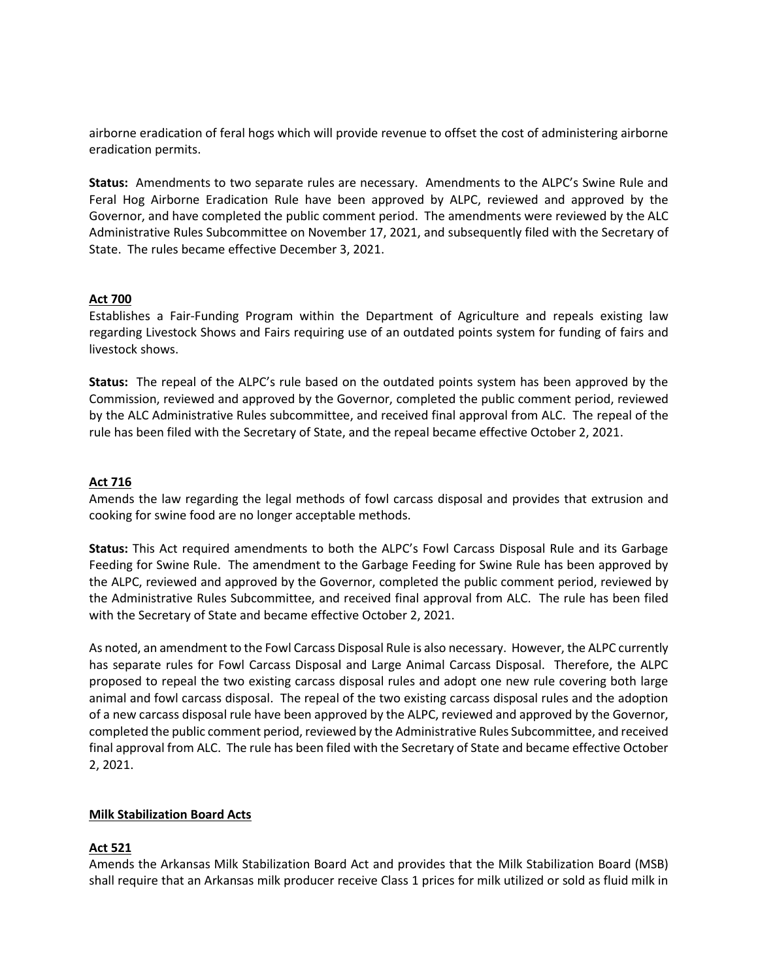airborne eradication of feral hogs which will provide revenue to offset the cost of administering airborne eradication permits.

**Status:** Amendments to two separate rules are necessary. Amendments to the ALPC's Swine Rule and Feral Hog Airborne Eradication Rule have been approved by ALPC, reviewed and approved by the Governor, and have completed the public comment period. The amendments were reviewed by the ALC Administrative Rules Subcommittee on November 17, 2021, and subsequently filed with the Secretary of State. The rules became effective December 3, 2021.

#### **Act 700**

Establishes a Fair-Funding Program within the Department of Agriculture and repeals existing law regarding Livestock Shows and Fairs requiring use of an outdated points system for funding of fairs and livestock shows.

**Status:** The repeal of the ALPC's rule based on the outdated points system has been approved by the Commission, reviewed and approved by the Governor, completed the public comment period, reviewed by the ALC Administrative Rules subcommittee, and received final approval from ALC. The repeal of the rule has been filed with the Secretary of State, and the repeal became effective October 2, 2021.

#### **Act 716**

Amends the law regarding the legal methods of fowl carcass disposal and provides that extrusion and cooking for swine food are no longer acceptable methods.

**Status:** This Act required amendments to both the ALPC's Fowl Carcass Disposal Rule and its Garbage Feeding for Swine Rule. The amendment to the Garbage Feeding for Swine Rule has been approved by the ALPC, reviewed and approved by the Governor, completed the public comment period, reviewed by the Administrative Rules Subcommittee, and received final approval from ALC. The rule has been filed with the Secretary of State and became effective October 2, 2021.

As noted, an amendment to the Fowl Carcass Disposal Rule is also necessary. However, the ALPC currently has separate rules for Fowl Carcass Disposal and Large Animal Carcass Disposal. Therefore, the ALPC proposed to repeal the two existing carcass disposal rules and adopt one new rule covering both large animal and fowl carcass disposal. The repeal of the two existing carcass disposal rules and the adoption of a new carcass disposal rule have been approved by the ALPC, reviewed and approved by the Governor, completed the public comment period, reviewed by the Administrative Rules Subcommittee, and received final approval from ALC. The rule has been filed with the Secretary of State and became effective October 2, 2021.

#### **Milk Stabilization Board Acts**

#### **Act 521**

Amends the Arkansas Milk Stabilization Board Act and provides that the Milk Stabilization Board (MSB) shall require that an Arkansas milk producer receive Class 1 prices for milk utilized or sold as fluid milk in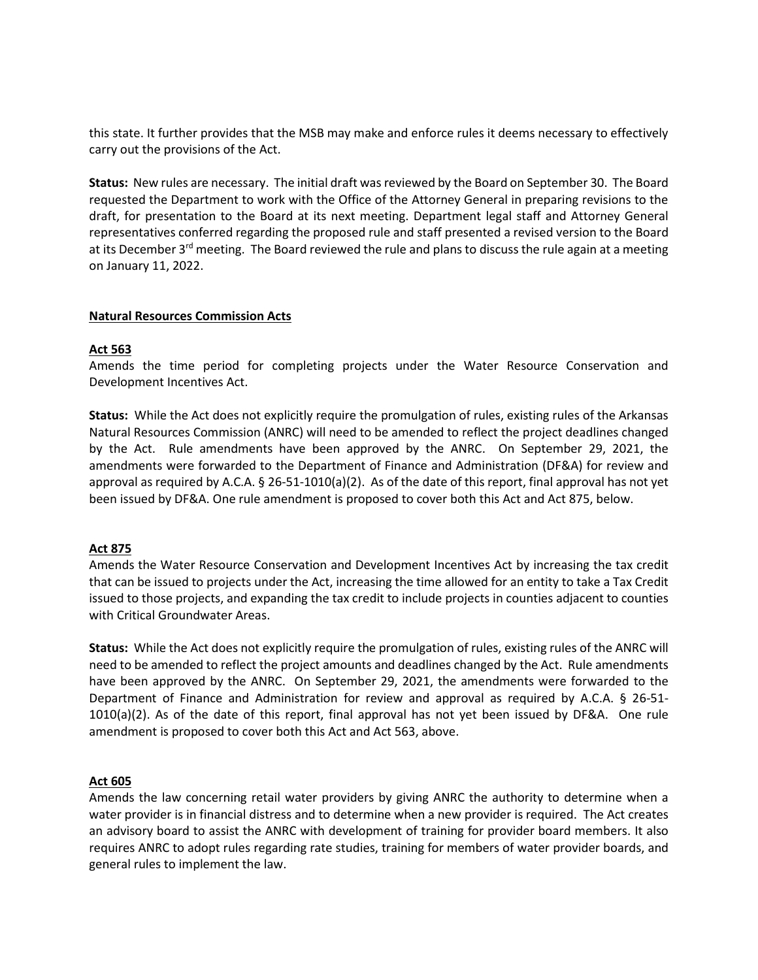this state. It further provides that the MSB may make and enforce rules it deems necessary to effectively carry out the provisions of the Act.

Status: New rules are necessary. The initial draft was reviewed by the Board on September 30. The Board requested the Department to work with the Office of the Attorney General in preparing revisions to the draft, for presentation to the Board at its next meeting. Department legal staff and Attorney General representatives conferred regarding the proposed rule and staff presented a revised version to the Board at its December  $3<sup>rd</sup>$  meeting. The Board reviewed the rule and plans to discuss the rule again at a meeting on January 11, 2022.

#### **Natural Resources Commission Acts**

#### **Act 563**

Amends the time period for completing projects under the Water Resource Conservation and Development Incentives Act.

**Status:** While the Act does not explicitly require the promulgation of rules, existing rules of the Arkansas Natural Resources Commission (ANRC) will need to be amended to reflect the project deadlines changed by the Act. Rule amendments have been approved by the ANRC. On September 29, 2021, the amendments were forwarded to the Department of Finance and Administration (DF&A) for review and approval as required by A.C.A. § 26-51-1010(a)(2). As of the date of this report, final approval has not yet been issued by DF&A. One rule amendment is proposed to cover both this Act and Act 875, below.

#### **Act 875**

Amends the Water Resource Conservation and Development Incentives Act by increasing the tax credit that can be issued to projects under the Act, increasing the time allowed for an entity to take a Tax Credit issued to those projects, and expanding the tax credit to include projects in counties adjacent to counties with Critical Groundwater Areas.

**Status:** While the Act does not explicitly require the promulgation of rules, existing rules of the ANRC will need to be amended to reflect the project amounts and deadlines changed by the Act. Rule amendments have been approved by the ANRC. On September 29, 2021, the amendments were forwarded to the Department of Finance and Administration for review and approval as required by A.C.A. § 26-51- 1010(a)(2). As of the date of this report, final approval has not yet been issued by DF&A. One rule amendment is proposed to cover both this Act and Act 563, above.

#### **Act 605**

Amends the law concerning retail water providers by giving ANRC the authority to determine when a water provider is in financial distress and to determine when a new provider is required. The Act creates an advisory board to assist the ANRC with development of training for provider board members. It also requires ANRC to adopt rules regarding rate studies, training for members of water provider boards, and general rules to implement the law.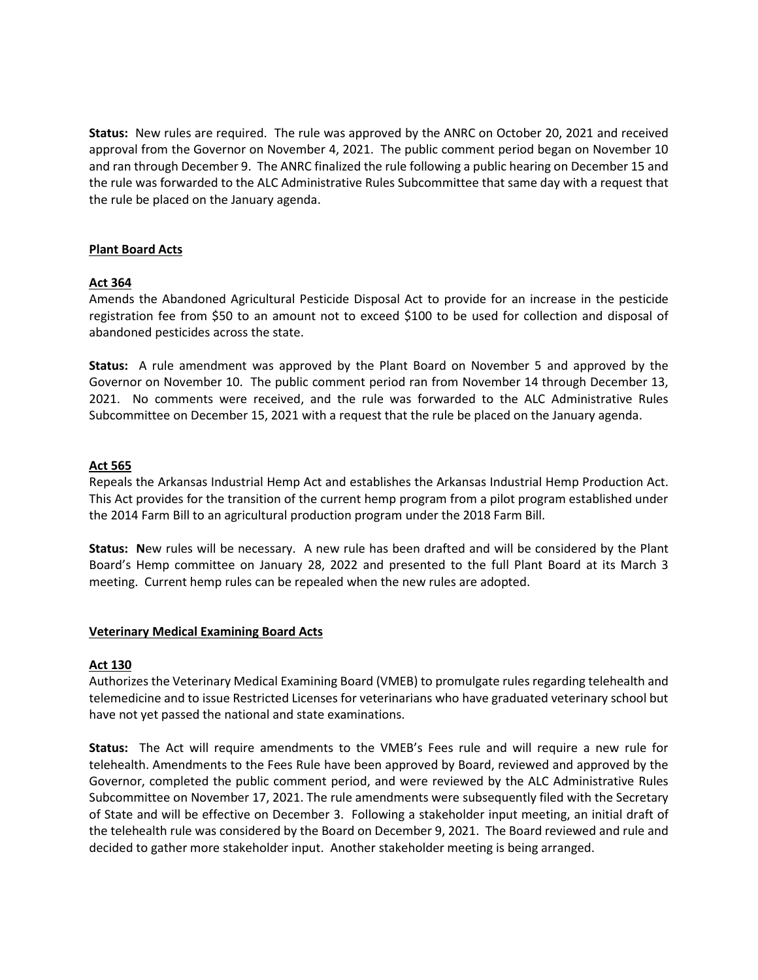**Status:** New rules are required. The rule was approved by the ANRC on October 20, 2021 and received approval from the Governor on November 4, 2021. The public comment period began on November 10 and ran through December 9. The ANRC finalized the rule following a public hearing on December 15 and the rule was forwarded to the ALC Administrative Rules Subcommittee that same day with a request that the rule be placed on the January agenda.

#### **Plant Board Acts**

### **Act 364**

Amends the Abandoned Agricultural Pesticide Disposal Act to provide for an increase in the pesticide registration fee from \$50 to an amount not to exceed \$100 to be used for collection and disposal of abandoned pesticides across the state.

**Status:** A rule amendment was approved by the Plant Board on November 5 and approved by the Governor on November 10. The public comment period ran from November 14 through December 13, 2021. No comments were received, and the rule was forwarded to the ALC Administrative Rules Subcommittee on December 15, 2021 with a request that the rule be placed on the January agenda.

#### **Act 565**

Repeals the Arkansas Industrial Hemp Act and establishes the Arkansas Industrial Hemp Production Act. This Act provides for the transition of the current hemp program from a pilot program established under the 2014 Farm Bill to an agricultural production program under the 2018 Farm Bill.

**Status: N**ew rules will be necessary. A new rule has been drafted and will be considered by the Plant Board's Hemp committee on January 28, 2022 and presented to the full Plant Board at its March 3 meeting. Current hemp rules can be repealed when the new rules are adopted.

#### **Veterinary Medical Examining Board Acts**

#### **Act 130**

Authorizes the Veterinary Medical Examining Board (VMEB) to promulgate rules regarding telehealth and telemedicine and to issue Restricted Licenses for veterinarians who have graduated veterinary school but have not yet passed the national and state examinations.

**Status:** The Act will require amendments to the VMEB's Fees rule and will require a new rule for telehealth. Amendments to the Fees Rule have been approved by Board, reviewed and approved by the Governor, completed the public comment period, and were reviewed by the ALC Administrative Rules Subcommittee on November 17, 2021. The rule amendments were subsequently filed with the Secretary of State and will be effective on December 3. Following a stakeholder input meeting, an initial draft of the telehealth rule was considered by the Board on December 9, 2021. The Board reviewed and rule and decided to gather more stakeholder input. Another stakeholder meeting is being arranged.